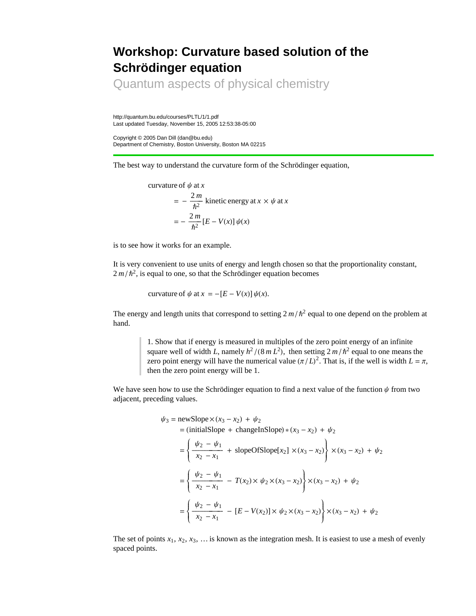## **Workshop: Curvature based solution of the Schrödinger equation**

Quantum aspects of physical chemistry

http://quantum.bu.edu/courses/PLTL/1/1.pdf Last updated Tuesday, November 15, 2005 12:53:38-05:00

Copyright © 2005 Dan Dill (dan@bu.edu) Department of Chemistry, Boston University, Boston MA 02215

The best way to understand the curvature form of the Schrödinger equation,

curvature of 
$$
\psi
$$
 at x  
\n
$$
= -\frac{2m}{\hbar^2}
$$
kinetic energy at  $x \times \psi$  at x  
\n
$$
= -\frac{2m}{\hbar^2} [E - V(x)] \psi(x)
$$

is to see how it works for an example.

It is very convenient to use units of energy and length chosen so that the proportionality constant,  $2 m/h^2$ , is equal to one, so that the Schrödinger equation becomes

curvature of  $\psi$  at  $x = -[E - V(x)] \psi(x)$ .

The energy and length units that correspond to setting  $2 m/h^2$  equal to one depend on the problem at hand.

> 1. Show that if energy is measured in multiples of the zero point energy of an infinite square well of width *L*, namely  $h^2/(8mL^2)$ , then setting  $2m/\hbar^2$  equal to one means the zero point energy will have the numerical value  $(\pi/L)^2$ . That is, if the well is width  $L = \pi$ , then the zero point energy will be 1.

We have seen how to use the Schrödinger equation to find a next value of the function  $\psi$  from two adjacent, preceding values.

$$
\psi_3 = \text{newSlope} \times (x_3 - x_2) + \psi_2
$$
  
= (initialSlope + changeInSlope) \* (x<sub>3</sub> - x<sub>2</sub>) +  $\psi_2$   
=  $\left\{ \frac{\psi_2 - \psi_1}{x_2 - x_1} + \text{slopeOfSlope}[x_2] \times (x_3 - x_2) \right\} \times (x_3 - x_2) + \psi_2$   
=  $\left\{ \frac{\psi_2 - \psi_1}{x_2 - x_1} - T(x_2) \times \psi_2 \times (x_3 - x_2) \right\} \times (x_3 - x_2) + \psi_2$   
=  $\left\{ \frac{\psi_2 - \psi_1}{x_2 - x_1} - [E - V(x_2)] \times \psi_2 \times (x_3 - x_2) \right\} \times (x_3 - x_2) + \psi_2$ 

The set of points  $x_1, x_2, x_3, \ldots$  is known as the integration mesh. It is easiest to use a mesh of evenly spaced points.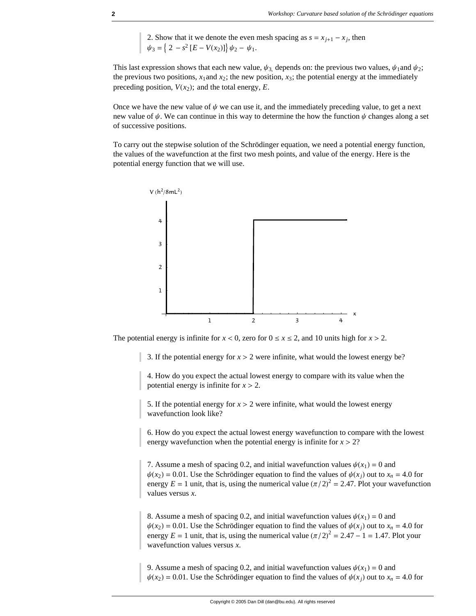2. Show that it we denote the even mesh spacing as  $s = x_{j+1} - x_j$ , then  $\psi_3 = \left\{ 2 - s^2 \left[ E - V(x_2) \right] \right\} \psi_2 - \psi_1.$ 

This last expression shows that each new value,  $\psi_3$ , depends on: the previous two values,  $\psi_1$  and  $\psi_2$ ; the previous two positions,  $x_1$  and  $x_2$ ; the new position,  $x_3$ ; the potential energy at the immediately preceding position,  $V(x_2)$ ; and the total energy, *E*.

Once we have the new value of  $\psi$  we can use it, and the immediately preceding value, to get a next new value of  $\psi$ . We can continue in this way to determine the how the function  $\psi$  changes along a set of successive positions.

To carry out the stepwise solution of the Schrödinger equation, we need a potential energy function, the values of the wavefunction at the first two mesh points, and value of the energy. Here is the potential energy function that we will use.



The potential energy is infinite for  $x < 0$ , zero for  $0 \le x \le 2$ , and 10 units high for  $x > 2$ .

3. If the potential energy for  $x > 2$  were infinite, what would the lowest energy be?

4. How do you expect the actual lowest energy to compare with its value when the potential energy is infinite for  $x > 2$ .

5. If the potential energy for  $x > 2$  were infinite, what would the lowest energy wavefunction look like?

6. How do you expect the actual lowest energy wavefunction to compare with the lowest energy wavefunction when the potential energy is infinite for  $x > 2$ ?

7. Assume a mesh of spacing 0.2, and initial wavefunction values  $\psi(x_1) = 0$  and  $\psi(x_2) = 0.01$ . Use the Schrödinger equation to find the values of  $\psi(x_i)$  out to  $x_n = 4.0$  for energy  $E = 1$  unit, that is, using the numerical value  $(\pi/2)^2 = 2.47$ . Plot your wavefunction values versus *x*.

8. Assume a mesh of spacing 0.2, and initial wavefunction values  $\psi(x_1) = 0$  and  $\psi(x_2) = 0.01$ . Use the Schrödinger equation to find the values of  $\psi(x_j)$  out to  $x_n = 4.0$  for energy  $E = 1$  unit, that is, using the numerical value  $(\pi/2)^2 = 2.47 - 1 = 1.47$ . Plot your wavefunction values versus *x*.

9. Assume a mesh of spacing 0.2, and initial wavefunction values  $\psi(x_1) = 0$  and  $\psi(x_2) = 0.01$ . Use the Schrödinger equation to find the values of  $\psi(x_i)$  out to  $x_n = 4.0$  for